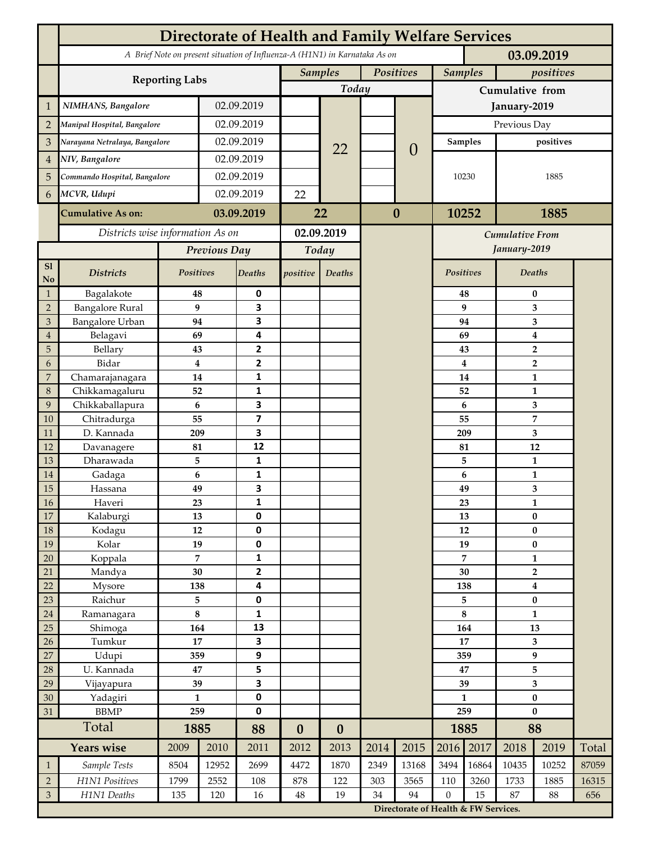|                                               | <b>Directorate of Health and Family Welfare Services</b>                                 |                              |                      |                              |                          |                          |           |                        |                                      |                  |                               |                         |              |  |  |  |
|-----------------------------------------------|------------------------------------------------------------------------------------------|------------------------------|----------------------|------------------------------|--------------------------|--------------------------|-----------|------------------------|--------------------------------------|------------------|-------------------------------|-------------------------|--------------|--|--|--|
|                                               | A Brief Note on present situation of Influenza-A (H1N1) in Karnataka As on<br>03.09.2019 |                              |                      |                              |                          |                          |           |                        |                                      |                  |                               |                         |              |  |  |  |
|                                               | <b>Reporting Labs</b>                                                                    |                              |                      |                              | <b>Samples</b>           |                          | Positives |                        | <b>Samples</b>                       |                  | positives                     |                         |              |  |  |  |
|                                               |                                                                                          |                              |                      |                              |                          | Today                    |           |                        | Cumulative from                      |                  |                               |                         |              |  |  |  |
| $\mathbf{1}$                                  | NIMHANS, Bangalore                                                                       | 02.09.2019                   |                      |                              |                          |                          |           | January-2019           |                                      |                  |                               |                         |              |  |  |  |
| $\overline{2}$                                | Manipal Hospital, Bangalore                                                              |                              |                      | 02.09.2019                   |                          |                          |           |                        | Previous Day                         |                  |                               |                         |              |  |  |  |
| 3                                             | Narayana Netralaya, Bangalore                                                            |                              | 02.09.2019           |                              |                          |                          |           |                        | Samples                              |                  |                               | positives               |              |  |  |  |
| $\overline{4}$                                | NIV, Bangalore                                                                           |                              |                      | 02.09.2019                   |                          | 22                       |           | $\overline{0}$         |                                      |                  |                               |                         |              |  |  |  |
| 5                                             |                                                                                          | Commando Hospital, Bangalore |                      | 02.09.2019                   |                          |                          |           |                        | 10230                                |                  | 1885                          |                         |              |  |  |  |
| 6                                             | MCVR, Udupi                                                                              |                              | 02.09.2019           |                              | 22                       |                          |           |                        |                                      |                  |                               |                         |              |  |  |  |
|                                               |                                                                                          |                              |                      |                              |                          |                          |           |                        |                                      |                  |                               |                         |              |  |  |  |
|                                               | <b>Cumulative As on:</b>                                                                 |                              | 03.09.2019           |                              | 22                       |                          | $\bf{0}$  |                        | 10252                                |                  |                               | 1885                    |              |  |  |  |
|                                               | Districts wise information As on                                                         |                              |                      | 02.09.2019                   |                          |                          |           | <b>Cumulative From</b> |                                      |                  |                               |                         |              |  |  |  |
|                                               |                                                                                          | Previous Day                 |                      | Today                        |                          |                          |           |                        |                                      | January-2019     |                               |                         |              |  |  |  |
| S1<br>N <sub>o</sub>                          | <b>Districts</b>                                                                         | Positives                    |                      | Deaths                       | positive                 | Deaths                   |           |                        | Positives                            |                  |                               | Deaths                  |              |  |  |  |
| $\mathbf{1}$                                  | Bagalakote                                                                               | 48                           |                      | 0                            |                          |                          |           | 48                     | $\pmb{0}$                            |                  |                               |                         |              |  |  |  |
| $\sqrt{2}$                                    | <b>Bangalore Rural</b>                                                                   | 9                            |                      | 3                            |                          |                          |           |                        |                                      | 9                | 3                             |                         |              |  |  |  |
| 3                                             | Bangalore Urban                                                                          | 94                           |                      | 3                            |                          |                          |           |                        |                                      | 94               | 3                             |                         |              |  |  |  |
| $\overline{4}$<br>5                           | Belagavi<br>Bellary                                                                      | 69<br>43                     |                      | 4<br>$\overline{\mathbf{2}}$ |                          |                          |           |                        | 69<br>43                             | 4<br>$\mathbf 2$ |                               |                         |              |  |  |  |
| 6                                             | Bidar                                                                                    |                              | $\bf{4}$             | $\overline{2}$               |                          |                          |           |                        |                                      | $\boldsymbol{4}$ |                               | $\overline{\mathbf{2}}$ |              |  |  |  |
| $\overline{7}$                                | Chamarajanagara                                                                          | 14                           |                      | $\mathbf{1}$                 |                          |                          |           |                        |                                      | 14               |                               | 1                       |              |  |  |  |
| 8                                             | Chikkamagaluru                                                                           | 52                           |                      | 1                            |                          |                          |           |                        |                                      | 52               |                               | 1                       |              |  |  |  |
| 9                                             | Chikkaballapura                                                                          | 6                            |                      | 3                            |                          |                          |           |                        |                                      | 6                |                               | 3                       |              |  |  |  |
| 10                                            | Chitradurga                                                                              | 55                           |                      | $\overline{\mathbf{z}}$      |                          |                          |           |                        |                                      | 55               |                               | 7                       |              |  |  |  |
| 11                                            | D. Kannada                                                                               | 209                          |                      | $\overline{\mathbf{3}}$      |                          |                          |           |                        | 209                                  |                  |                               | 3                       |              |  |  |  |
| 12                                            | Davanagere                                                                               | 81                           |                      | 12                           |                          |                          |           |                        |                                      | 81               |                               | 12                      |              |  |  |  |
| 13                                            | Dharawada                                                                                | 5                            |                      | $\mathbf{1}$<br>$\mathbf{1}$ |                          |                          |           |                        |                                      | 5                |                               | $\mathbf{1}$            |              |  |  |  |
| 14<br>15                                      | Gadaga<br>Hassana                                                                        | 6<br>49                      |                      | 3                            |                          |                          |           |                        |                                      | 6<br>49          |                               | 1<br>3                  |              |  |  |  |
| <b>16</b>                                     | Haveri                                                                                   | 23                           |                      | 1                            |                          |                          |           |                        |                                      | 23               |                               | 1                       |              |  |  |  |
| 17                                            | Kalaburgi                                                                                | 13                           | $\mathbf 0$          |                              |                          |                          |           |                        |                                      | 13               |                               | $\pmb{0}$               |              |  |  |  |
| 18                                            | Kodagu                                                                                   | 12                           |                      | $\mathbf 0$                  |                          |                          |           |                        | 12                                   |                  | $\pmb{0}$                     |                         |              |  |  |  |
| 19                                            | Kolar                                                                                    | 19                           |                      | $\pmb{0}$                    |                          |                          |           |                        |                                      | 19               | $\pmb{0}$                     |                         |              |  |  |  |
| 20                                            | Koppala                                                                                  | 7                            |                      | 1                            |                          |                          |           |                        | 7                                    |                  | $\mathbf{1}$                  |                         |              |  |  |  |
| $21\,$                                        | Mandya                                                                                   | 30                           |                      | $\overline{\mathbf{2}}$      |                          |                          |           |                        | 30                                   |                  | $\mathbf 2$                   |                         |              |  |  |  |
| 22                                            | Mysore                                                                                   | 138<br>5                     |                      | $\pmb{4}$<br>$\pmb{0}$       |                          |                          |           |                        | 138<br>5                             |                  | $\boldsymbol{4}$<br>$\pmb{0}$ |                         |              |  |  |  |
| 23<br>$24\,$                                  | Raichur<br>Ramanagara                                                                    | 8                            |                      | $\mathbf{1}$                 |                          |                          |           |                        | $\bf 8$                              |                  | $\mathbf{1}$                  |                         |              |  |  |  |
| 25                                            | Shimoga                                                                                  | 164                          |                      | 13                           |                          |                          |           |                        | 164                                  |                  | 13                            |                         |              |  |  |  |
| 26                                            | Tumkur                                                                                   | 17                           |                      | 3                            |                          |                          |           |                        | 17                                   |                  | $\mathbf{3}$                  |                         |              |  |  |  |
| 27                                            | Udupi                                                                                    | 359                          |                      | 9                            |                          |                          |           |                        |                                      | 359              |                               | $\boldsymbol{9}$        |              |  |  |  |
| 28                                            | U. Kannada                                                                               | 47                           |                      | 5                            |                          |                          |           |                        | 47                                   |                  | 5                             |                         |              |  |  |  |
| 29                                            | Vijayapura                                                                               | 39                           |                      | 3                            |                          |                          |           |                        | 39                                   |                  | 3                             |                         |              |  |  |  |
| $30\,$                                        | Yadagiri                                                                                 | $\mathbf{1}$<br>259          |                      | $\mathbf 0$                  |                          |                          |           |                        | $\mathbf{1}$                         |                  | $\pmb{0}$                     |                         |              |  |  |  |
| 31                                            | <b>BBMP</b>                                                                              |                              |                      | $\mathbf 0$<br>88            |                          |                          |           |                        | 259<br>1885                          |                  | $\bf{0}$                      |                         |              |  |  |  |
|                                               | Total<br>Years wise                                                                      |                              | 1885<br>2010<br>2009 |                              | $\boldsymbol{0}$<br>2012 | $\boldsymbol{0}$<br>2013 | 2014      | 2015                   | 2016                                 | 2017             | 2018                          | 88<br>2019              | Total        |  |  |  |
|                                               |                                                                                          |                              |                      | 2011                         |                          |                          |           |                        |                                      |                  |                               |                         |              |  |  |  |
| $\mathbf{1}$                                  | Sample Tests                                                                             | 8504                         | 12952                | 2699                         | 4472                     | 1870                     | 2349      | 13168                  | 3494                                 | 16864            | 10435                         | 10252                   | 87059        |  |  |  |
| $\overline{2}$<br>$\ensuremath{\mathfrak{Z}}$ | H1N1 Positives<br>H1N1 Deaths                                                            | 1799<br>135                  | 2552<br>120          | 108<br>16                    | 878<br>$\rm 48$          | 122<br>19                | 303<br>34 | 3565<br>94             | 110<br>$\mathbf{0}$                  | 3260<br>15       | 1733<br>87                    | 1885<br>88              | 16315<br>656 |  |  |  |
|                                               |                                                                                          |                              |                      |                              |                          |                          |           |                        | Directorate of Health & FW Services. |                  |                               |                         |              |  |  |  |